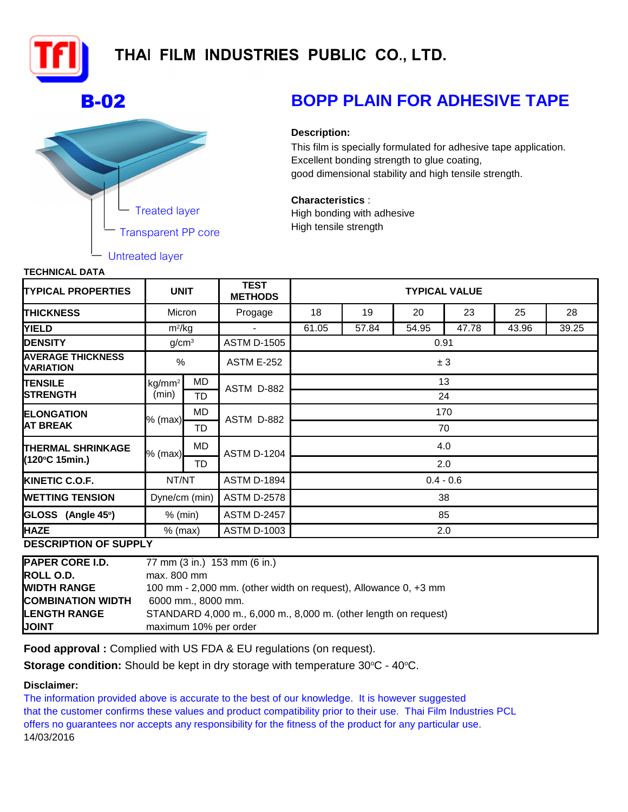

## THAI FILM INDUSTRIES PUBLIC CO., LTD.



# **B-02 BOPP PLAIN FOR ADHESIVE TAPE**

### **Description:**

This film is specially formulated for adhesive tape application. Excellent bonding strength to glue coating, good dimensional stability and high tensile strength.

High bonding with adhesive High tensile strength **Characteristics** :

| <u>еонноже рата</u>                          |                             |           |                               |                      |       |       |       |       |       |  |
|----------------------------------------------|-----------------------------|-----------|-------------------------------|----------------------|-------|-------|-------|-------|-------|--|
| <b>TYPICAL PROPERTIES</b>                    | <b>UNIT</b>                 |           | <b>TEST</b><br><b>METHODS</b> | <b>TYPICAL VALUE</b> |       |       |       |       |       |  |
| <b>THICKNESS</b>                             | Micron                      |           | Progage                       | 18                   | 19    | 20    | 23    | 25    | 28    |  |
| <b>YIELD</b>                                 | $m^2/kg$                    |           |                               | 61.05                | 57.84 | 54.95 | 47.78 | 43.96 | 39.25 |  |
| <b>DENSITY</b>                               | g/cm <sup>3</sup>           |           | <b>ASTM D-1505</b>            | 0.91                 |       |       |       |       |       |  |
| <b>AVERAGE THICKNESS</b><br><b>VARIATION</b> | $\%$                        |           | <b>ASTM E-252</b>             | ± 3                  |       |       |       |       |       |  |
| <b>TENSILE</b><br><b>STRENGTH</b>            | kg/mm <sup>2</sup><br>(min) | MD        | ASTM D-882                    | 13                   |       |       |       |       |       |  |
|                                              |                             | TD        |                               | 24                   |       |       |       |       |       |  |
| <b>ELONGATION</b><br>IAT BREAK               | % (max) <b> </b>            | MD        |                               | 170                  |       |       |       |       |       |  |
|                                              |                             | TD        | ASTM D-882                    | 70                   |       |       |       |       |       |  |
| <b>THERMAL SHRINKAGE</b><br>(120°C 15min.)   | $%$ (max)                   | <b>MD</b> | <b>ASTM D-1204</b>            | 4.0                  |       |       |       |       |       |  |
|                                              |                             | TD        |                               | 2.0                  |       |       |       |       |       |  |
| <b>KINETIC C.O.F.</b>                        | NT/NT                       |           | <b>ASTM D-1894</b>            | $0.4 - 0.6$          |       |       |       |       |       |  |
| <b>WETTING TENSION</b>                       | Dyne/cm (min)               |           | <b>ASTM D-2578</b>            | 38                   |       |       |       |       |       |  |
| GLOSS (Angle 45°)                            | $%$ (min)                   |           | <b>ASTM D-2457</b>            | 85                   |       |       |       |       |       |  |
| <b>HAZE</b>                                  | $%$ (max)                   |           | <b>ASTM D-1003</b>            | 2.0                  |       |       |       |       |       |  |
| DESCRIPTION OF SUPPLY                        |                             |           |                               |                      |       |       |       |       |       |  |

**DESCRIPTION OF SUPPLY**

| <b>PAPER CORE I.D.</b>   | 77 mm (3 in.) 153 mm (6 in.)                                    |  |  |  |  |  |
|--------------------------|-----------------------------------------------------------------|--|--|--|--|--|
| <b>ROLL O.D.</b>         | $max. 800$ mm                                                   |  |  |  |  |  |
| <b>WIDTH RANGE</b>       | 100 mm - 2,000 mm. (other width on request), Allowance 0, +3 mm |  |  |  |  |  |
| <b>COMBINATION WIDTH</b> | 6000 mm., 8000 mm.                                              |  |  |  |  |  |
| <b>LENGTH RANGE</b>      | STANDARD 4,000 m., 6,000 m., 8,000 m. (other length on request) |  |  |  |  |  |
| <b>JOINT</b>             | maximum 10% per order                                           |  |  |  |  |  |

**Food approval :** Complied with US FDA & EU regulations (on request).

**Storage condition:** Should be kept in dry storage with temperature 30°C - 40°C.

### **Disclaimer:**

offers no guarantees nor accepts any responsibility for the fitness of the product for any particular use. 14/03/2016 The information provided above is accurate to the best of our knowledge. It is however suggested that the customer confirms these values and product compatibility prior to their use. Thai Film Industries PCL